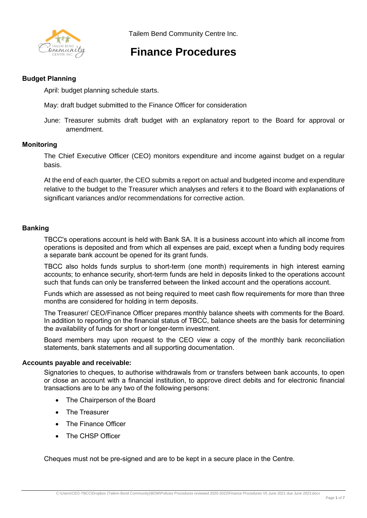

Tailem Bend Community Centre Inc.

# **Finance Procedures**

# **Budget Planning**

April: budget planning schedule starts.

May: draft budget submitted to the Finance Officer for consideration

June: Treasurer submits draft budget with an explanatory report to the Board for approval or amendment.

# **Monitoring**

The Chief Executive Officer (CEO) monitors expenditure and income against budget on a regular basis.

At the end of each quarter, the CEO submits a report on actual and budgeted income and expenditure relative to the budget to the Treasurer which analyses and refers it to the Board with explanations of significant variances and/or recommendations for corrective action.

# **Banking**

TBCC's operations account is held with Bank SA. It is a business account into which all income from operations is deposited and from which all expenses are paid, except when a funding body requires a separate bank account be opened for its grant funds.

TBCC also holds funds surplus to short-term (one month) requirements in high interest earning accounts; to enhance security, short-term funds are held in deposits linked to the operations account such that funds can only be transferred between the linked account and the operations account.

Funds which are assessed as not being required to meet cash flow requirements for more than three months are considered for holding in term deposits.

The Treasurer/ CEO/Finance Officer prepares monthly balance sheets with comments for the Board. In addition to reporting on the financial status of TBCC, balance sheets are the basis for determining the availability of funds for short or longer-term investment.

Board members may upon request to the CEO view a copy of the monthly bank reconciliation statements, bank statements and all supporting documentation.

## **Accounts payable and receivable:**

Signatories to cheques, to authorise withdrawals from or transfers between bank accounts, to open or close an account with a financial institution, to approve direct debits and for electronic financial transactions are to be any two of the following persons:

- The Chairperson of the Board
- The Treasurer
- The Finance Officer
- The CHSP Officer

Cheques must not be pre-signed and are to be kept in a secure place in the Centre.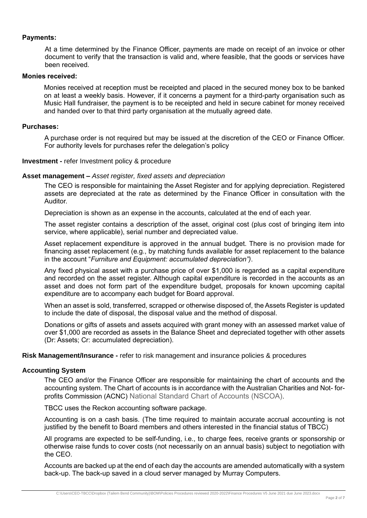#### **Payments:**

At a time determined by the Finance Officer, payments are made on receipt of an invoice or other document to verify that the transaction is valid and, where feasible, that the goods or services have been received.

#### **Monies received:**

Monies received at reception must be receipted and placed in the secured money box to be banked on at least a weekly basis. However, if it concerns a payment for a third-party organisation such as Music Hall fundraiser, the payment is to be receipted and held in secure cabinet for money received and handed over to that third party organisation at the mutually agreed date.

#### **Purchases:**

A purchase order is not required but may be issued at the discretion of the CEO or Finance Officer. For authority levels for purchases refer the delegation's policy

#### **Investment -** refer Investment policy & procedure

#### **Asset management –** *Asset register, fixed assets and depreciation*

The CEO is responsible for maintaining the Asset Register and for applying depreciation. Registered assets are depreciated at the rate as determined by the Finance Officer in consultation with the Auditor.

Depreciation is shown as an expense in the accounts, calculated at the end of each year.

The asset register contains a description of the asset, original cost (plus cost of bringing item into service, where applicable), serial number and depreciated value.

Asset replacement expenditure is approved in the annual budget. There is no provision made for financing asset replacement (e.g., by matching funds available for asset replacement to the balance in the account "*Furniture and Equipment: accumulated depreciation")*.

Any fixed physical asset with a purchase price of over \$1,000 is regarded as a capital expenditure and recorded on the asset register. Although capital expenditure is recorded in the accounts as an asset and does not form part of the expenditure budget, proposals for known upcoming capital expenditure are to accompany each budget for Board approval.

When an asset is sold, transferred, scrapped or otherwise disposed of, the Assets Register is updated to include the date of disposal, the disposal value and the method of disposal.

Donations or gifts of assets and assets acquired with grant money with an assessed market value of over \$1,000 are recorded as assets in the Balance Sheet and depreciated together with other assets (Dr: Assets; Cr: accumulated depreciation).

**Risk Management/Insurance -** refer to risk management and insurance policies & procedures

#### **Accounting System**

The CEO and/or the Finance Officer are responsible for maintaining the chart of accounts and the accounting system. The Chart of accounts is in accordance with the Australian Charities and Not- forprofits Commission (ACNC) National Standard Chart of Accounts (NSCOA).

TBCC uses the Reckon accounting software package.

Accounting is on a cash basis. (The time required to maintain accurate accrual accounting is not justified by the benefit to Board members and others interested in the financial status of TBCC)

All programs are expected to be self-funding, i.e., to charge fees, receive grants or sponsorship or otherwise raise funds to cover costs (not necessarily on an annual basis) subject to negotiation with the CEO.

Accounts are backed up at the end of each day the accounts are amended automatically with a system back-up. The back-up saved in a cloud server managed by Murray Computers.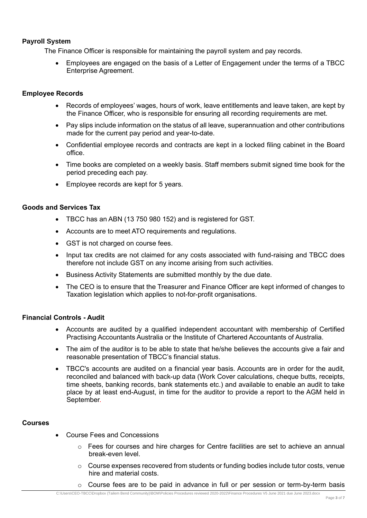## **Payroll System**

The Finance Officer is responsible for maintaining the payroll system and pay records.

• Employees are engaged on the basis of a Letter of Engagement under the terms of a TBCC Enterprise Agreement.

## **Employee Records**

- Records of employees' wages, hours of work, leave entitlements and leave taken, are kept by the Finance Officer, who is responsible for ensuring all recording requirements are met.
- Pay slips include information on the status of all leave, superannuation and other contributions made for the current pay period and year-to-date.
- Confidential employee records and contracts are kept in a locked filing cabinet in the Board office.
- Time books are completed on a weekly basis. Staff members submit signed time book for the period preceding each pay.
- Employee records are kept for 5 years.

## **Goods and Services Tax**

- TBCC has an ABN (13 750 980 152) and is registered for GST.
- Accounts are to meet ATO requirements and regulations.
- GST is not charged on course fees.
- Input tax credits are not claimed for any costs associated with fund-raising and TBCC does therefore not include GST on any income arising from such activities.
- Business Activity Statements are submitted monthly by the due date.
- The CEO is to ensure that the Treasurer and Finance Officer are kept informed of changes to Taxation legislation which applies to not-for-profit organisations.

## **Financial Controls - Audit**

- Accounts are audited by a qualified independent accountant with membership of Certified Practising Accountants Australia or the Institute of Chartered Accountants of Australia.
- The aim of the auditor is to be able to state that he/she believes the accounts give a fair and reasonable presentation of TBCC's financial status.
- TBCC's accounts are audited on a financial year basis. Accounts are in order for the audit, reconciled and balanced with back-up data (Work Cover calculations, cheque butts, receipts, time sheets, banking records, bank statements etc.) and available to enable an audit to take place by at least end-August, in time for the auditor to provide a report to the AGM held in September.

## **Courses**

- Course Fees and Concessions
	- o Fees for courses and hire charges for Centre facilities are set to achieve an annual break-even level.
	- $\circ$  Course expenses recovered from students or funding bodies include tutor costs, venue hire and material costs.
	- $\circ$  Course fees are to be paid in advance in full or per session or term-by-term basis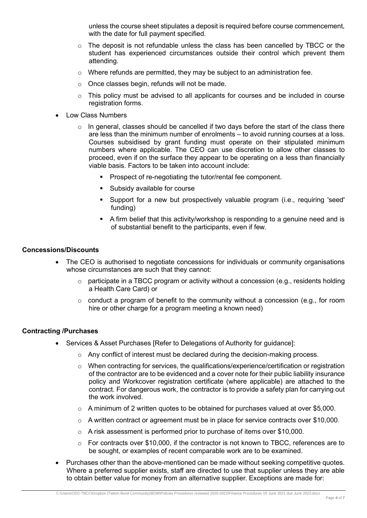unless the course sheet stipulates a deposit is required before course commencement, with the date for full payment specified.

- o The deposit is not refundable unless the class has been cancelled by TBCC or the student has experienced circumstances outside their control which prevent them attending.
- $\circ$  Where refunds are permitted, they may be subject to an administration fee.
- o Once classes begin, refunds will not be made.
- $\circ$  This policy must be advised to all applicants for courses and be included in course registration forms.
- Low Class Numbers
	- $\circ$  In general, classes should be cancelled if two days before the start of the class there are less than the minimum number of enrolments – to avoid running courses at a loss. Courses subsidised by grant funding must operate on their stipulated minimum numbers where applicable. The CEO can use discretion to allow other classes to proceed, even if on the surface they appear to be operating on a less than financially viable basis. Factors to be taken into account include:
		- Prospect of re-negotiating the tutor/rental fee component.
		- Subsidy available for course
		- Support for a new but prospectively valuable program (i.e., requiring 'seed' funding)
		- A firm belief that this activity/workshop is responding to a genuine need and is of substantial benefit to the participants, even if few.

## **Concessions/Discounts**

- The CEO is authorised to negotiate concessions for individuals or community organisations whose circumstances are such that they cannot:
	- $\circ$  participate in a TBCC program or activity without a concession (e.g., residents holding a Health Care Card) or
	- $\circ$  conduct a program of benefit to the community without a concession (e.g., for room hire or other charge for a program meeting a known need)

## **Contracting /Purchases**

- Services & Asset Purchases [Refer to Delegations of Authority for guidance]:
	- o Any conflict of interest must be declared during the decision-making process.
	- $\circ$  When contracting for services, the qualifications/experience/certification or registration of the contractor are to be evidenced and a cover note for their public liability insurance policy and Workcover registration certificate (where applicable) are attached to the contract. For dangerous work, the contractor is to provide a safety plan for carrying out the work involved.
	- $\circ$  A minimum of 2 written quotes to be obtained for purchases valued at over \$5,000.
	- o A written contract or agreement must be in place for service contracts over \$10,000.
	- o A risk assessment is performed prior to purchase of items over \$10,000.
	- o For contracts over \$10,000, if the contractor is not known to TBCC, references are to be sought, or examples of recent comparable work are to be examined.
- Purchases other than the above-mentioned can be made without seeking competitive quotes. Where a preferred supplier exists, staff are directed to use that supplier unless they are able to obtain better value for money from an alternative supplier. Exceptions are made for: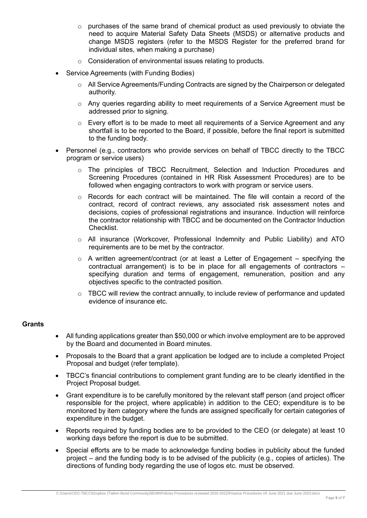- $\circ$  purchases of the same brand of chemical product as used previously to obviate the need to acquire Material Safety Data Sheets (MSDS) or alternative products and change MSDS registers (refer to the MSDS Register for the preferred brand for individual sites, when making a purchase)
- o Consideration of environmental issues relating to products.
- Service Agreements (with Funding Bodies)
	- o All Service Agreements/Funding Contracts are signed by the Chairperson or delegated authority.
	- o Any queries regarding ability to meet requirements of a Service Agreement must be addressed prior to signing.
	- $\circ$  Every effort is to be made to meet all requirements of a Service Agreement and any shortfall is to be reported to the Board, if possible, before the final report is submitted to the funding body.
- Personnel (e.g., contractors who provide services on behalf of TBCC directly to the TBCC program or service users)
	- o The principles of TBCC Recruitment, Selection and Induction Procedures and Screening Procedures (contained in HR Risk Assessment Procedures) are to be followed when engaging contractors to work with program or service users.
	- o Records for each contract will be maintained. The file will contain a record of the contract, record of contract reviews, any associated risk assessment notes and decisions, copies of professional registrations and insurance. Induction will reinforce the contractor relationship with TBCC and be documented on the Contractor Induction Checklist.
	- o All insurance (Workcover, Professional Indemnity and Public Liability) and ATO requirements are to be met by the contractor.
	- $\circ$  A written agreement/contract (or at least a Letter of Engagement specifying the contractual arrangement) is to be in place for all engagements of contractors – specifying duration and terms of engagement, remuneration, position and any objectives specific to the contracted position.
	- o TBCC will review the contract annually, to include review of performance and updated evidence of insurance etc.

## **Grants**

- All funding applications greater than \$50,000 or which involve employment are to be approved by the Board and documented in Board minutes.
- Proposals to the Board that a grant application be lodged are to include a completed Project Proposal and budget (refer template).
- TBCC's financial contributions to complement grant funding are to be clearly identified in the Project Proposal budget.
- Grant expenditure is to be carefully monitored by the relevant staff person (and project officer responsible for the project, where applicable) in addition to the CEO; expenditure is to be monitored by item category where the funds are assigned specifically for certain categories of expenditure in the budget.
- Reports required by funding bodies are to be provided to the CEO (or delegate) at least 10 working days before the report is due to be submitted.
- Special efforts are to be made to acknowledge funding bodies in publicity about the funded project – and the funding body is to be advised of the publicity (e.g., copies of articles). The directions of funding body regarding the use of logos etc. must be observed.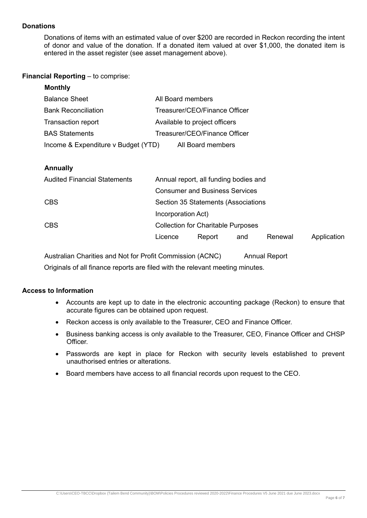## **Donations**

Donations of items with an estimated value of over \$200 are recorded in Reckon recording the intent of donor and value of the donation. If a donated item valued at over \$1,000, the donated item is entered in the asset register (see asset management above).

#### **Financial Reporting** – to comprise:

| <b>Monthly</b>                      |                               |  |  |
|-------------------------------------|-------------------------------|--|--|
| <b>Balance Sheet</b>                | All Board members             |  |  |
| <b>Bank Reconciliation</b>          | Treasurer/CEO/Finance Officer |  |  |
| Transaction report                  | Available to project officers |  |  |
| <b>BAS Statements</b>               | Treasurer/CEO/Finance Officer |  |  |
| Income & Expenditure v Budget (YTD) | All Board members             |  |  |

## **Annually**

| <b>Audited Financial Statements</b> | Annual report, all funding bodies and                     |        |     |         |             |
|-------------------------------------|-----------------------------------------------------------|--------|-----|---------|-------------|
|                                     | <b>Consumer and Business Services</b>                     |        |     |         |             |
| <b>CBS</b>                          | Section 35 Statements (Associations<br>Incorporation Act) |        |     |         |             |
|                                     |                                                           |        |     |         |             |
| <b>CBS</b>                          | <b>Collection for Charitable Purposes</b>                 |        |     |         |             |
|                                     | Licence                                                   | Report | and | Renewal | Application |

Australian Charities and Not for Profit Commission (ACNC) Annual Report

Originals of all finance reports are filed with the relevant meeting minutes.

## **Access to Information**

- Accounts are kept up to date in the electronic accounting package (Reckon) to ensure that accurate figures can be obtained upon request.
- Reckon access is only available to the Treasurer, CEO and Finance Officer.
- Business banking access is only available to the Treasurer, CEO, Finance Officer and CHSP Officer.
- Passwords are kept in place for Reckon with security levels established to prevent unauthorised entries or alterations.
- Board members have access to all financial records upon request to the CEO.